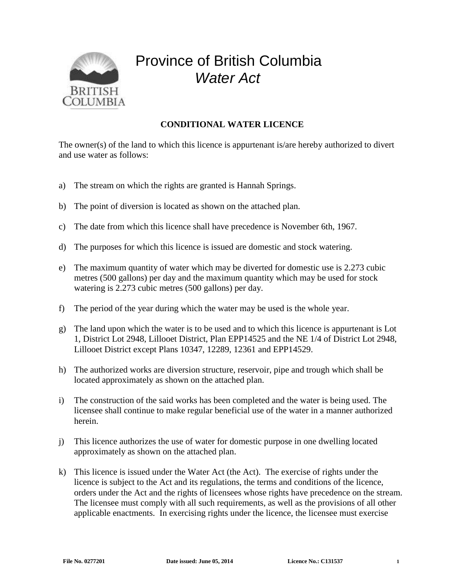

## Province of British Columbia *Water Act*

## **CONDITIONAL WATER LICENCE**

The owner(s) of the land to which this licence is appurtenant is/are hereby authorized to divert and use water as follows:

- a) The stream on which the rights are granted is Hannah Springs.
- b) The point of diversion is located as shown on the attached plan.
- c) The date from which this licence shall have precedence is November 6th, 1967.
- d) The purposes for which this licence is issued are domestic and stock watering.
- e) The maximum quantity of water which may be diverted for domestic use is 2.273 cubic metres (500 gallons) per day and the maximum quantity which may be used for stock watering is 2.273 cubic metres (500 gallons) per day.
- f) The period of the year during which the water may be used is the whole year.
- g) The land upon which the water is to be used and to which this licence is appurtenant is Lot 1, District Lot 2948, Lillooet District, Plan EPP14525 and the NE 1/4 of District Lot 2948, Lillooet District except Plans 10347, 12289, 12361 and EPP14529.
- h) The authorized works are diversion structure, reservoir, pipe and trough which shall be located approximately as shown on the attached plan.
- i) The construction of the said works has been completed and the water is being used. The licensee shall continue to make regular beneficial use of the water in a manner authorized herein.
- j) This licence authorizes the use of water for domestic purpose in one dwelling located approximately as shown on the attached plan.
- k) This licence is issued under the Water Act (the Act). The exercise of rights under the licence is subject to the Act and its regulations, the terms and conditions of the licence, orders under the Act and the rights of licensees whose rights have precedence on the stream. The licensee must comply with all such requirements, as well as the provisions of all other applicable enactments. In exercising rights under the licence, the licensee must exercise